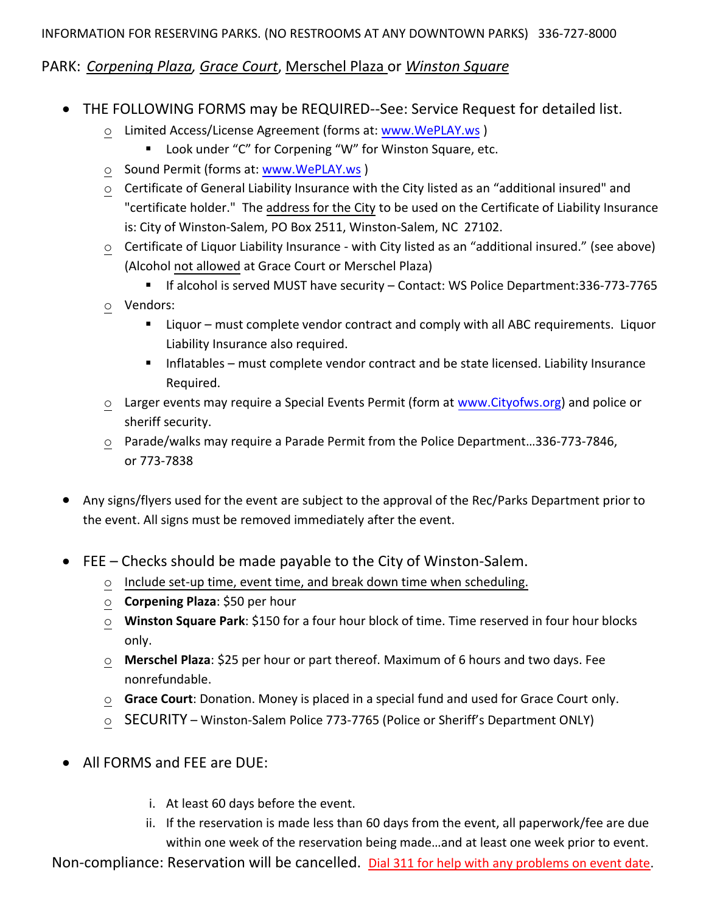## PARK: *Corpening Plaza, Grace Court*, Merschel Plaza or *Winston Square*

- THE FOLLOWING FORMS may be REQUIRED--See: Service Request for detailed list.
	- Limited Access/License Agreement (forms at[: www.WePLAY.ws](http://www.weplay.ws/))
		- Look under "C" for Corpening "W" for Winston Square, etc.
	- o Sound Permit (forms at: [www.WePLAY.ws](http://www.weplay.ws/) )
	- o Certificate of General Liability Insurance with the City listed as an "additional insured" and "certificate holder." The address for the City to be used on the Certificate of Liability Insurance is: City of Winston-Salem, PO Box 2511, Winston-Salem, NC 27102.
	- o Certificate of Liquor Liability Insurance with City listed as an "additional insured." (see above) (Alcohol not allowed at Grace Court or Merschel Plaza)
		- If alcohol is served MUST have security Contact: WS Police Department:336-773-7765
	- o Vendors:
		- Liquor must complete vendor contract and comply with all ABC requirements. Liquor Liability Insurance also required.
		- **Inflatables must complete vendor contract and be state licensed. Liability Insurance** Required.
	- o Larger events may require a Special Events Permit (form at [www.Cityofws.org\)](http://www.cityofws.org/) and police or sheriff security.
	- o Parade/walks may require a Parade Permit from the Police Department…336-773-7846, or 773-7838
- Any signs/flyers used for the event are subject to the approval of the Rec/Parks Department prior to the event. All signs must be removed immediately after the event.
- FEE Checks should be made payable to the City of Winston-Salem.
	- o Include set-up time, event time, and break down time when scheduling.
	- o **Corpening Plaza**: \$50 per hour
	- o **Winston Square Park**: \$150 for a four hour block of time. Time reserved in four hour blocks only.
	- o **Merschel Plaza**: \$25 per hour or part thereof. Maximum of 6 hours and two days. Fee nonrefundable.
	- o **Grace Court**: Donation. Money is placed in a special fund and used for Grace Court only.
	- o SECURITY Winston-Salem Police 773-7765 (Police or Sheriff's Department ONLY)
- All FORMS and FEE are DUE:
	- i. At least 60 days before the event.
	- ii. If the reservation is made less than 60 days from the event, all paperwork/fee are due within one week of the reservation being made…and at least one week prior to event.

Non-compliance: Reservation will be cancelled. Dial 311 for help with any problems on event date.